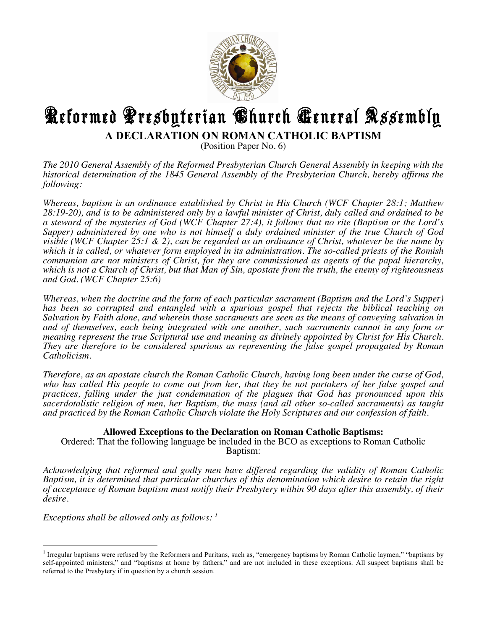

## **K**eformed Presbyterian **C**hurch **Ceneral Assembly A DECLARATION ON ROMAN CATHOLIC BAPTISM**

(Position Paper No. 6)

*The 2010 General Assembly of the Reformed Presbyterian Church General Assembly in keeping with the historical determination of the 1845 General Assembly of the Presbyterian Church, hereby affirms the following:*

*Whereas, baptism is an ordinance established by Christ in His Church (WCF Chapter 28:1; Matthew 28:19-20), and is to be administered only by a lawful minister of Christ, duly called and ordained to be a steward of the mysteries of God (WCF Chapter 27:4), it follows that no rite (Baptism or the Lord's Supper) administered by one who is not himself a duly ordained minister of the true Church of God visible (WCF Chapter 25:1 & 2), can be regarded as an ordinance of Christ, whatever be the name by which it is called, or whatever form employed in its administration. The so-called priests of the Romish communion are not ministers of Christ, for they are commissioned as agents of the papal hierarchy, which is not a Church of Christ, but that Man of Sin, apostate from the truth, the enemy of righteousness and God. (WCF Chapter 25:6)*

*Whereas, when the doctrine and the form of each particular sacrament (Baptism and the Lord's Supper) has been so corrupted and entangled with a spurious gospel that rejects the biblical teaching on Salvation by Faith alone, and wherein those sacraments are seen as the means of conveying salvation in and of themselves, each being integrated with one another, such sacraments cannot in any form or meaning represent the true Scriptural use and meaning as divinely appointed by Christ for His Church. They are therefore to be considered spurious as representing the false gospel propagated by Roman Catholicism.*

*Therefore, as an apostate church the Roman Catholic Church, having long been under the curse of God, who has called His people to come out from her, that they be not partakers of her false gospel and practices, falling under the just condemnation of the plagues that God has pronounced upon this sacerdotalistic religion of men, her Baptism, the mass (and all other so-called sacraments) as taught and practiced by the Roman Catholic Church violate the Holy Scriptures and our confession of faith.* 

## **Allowed Exceptions to the Declaration on Roman Catholic Baptisms:**

Ordered: That the following language be included in the BCO as exceptions to Roman Catholic Baptism:

*Acknowledging that reformed and godly men have differed regarding the validity of Roman Catholic Baptism, it is determined that particular churches of this denomination which desire to retain the right of acceptance of Roman baptism must notify their Presbytery within 90 days after this assembly, of their desire.*

*Exceptions shall be allowed only as follows: 1*

!!!!!!!!!!!!!!!!!!!!!!!!!!!!!!!!!!!!!!!!!!!!!!!!!!!!!!!

<sup>&</sup>lt;sup>1</sup> Irregular baptisms were refused by the Reformers and Puritans, such as, "emergency baptisms by Roman Catholic laymen," "baptisms by self-appointed ministers," and "baptisms at home by fathers," and are not included in these exceptions. All suspect baptisms shall be referred to the Presbytery if in question by a church session.